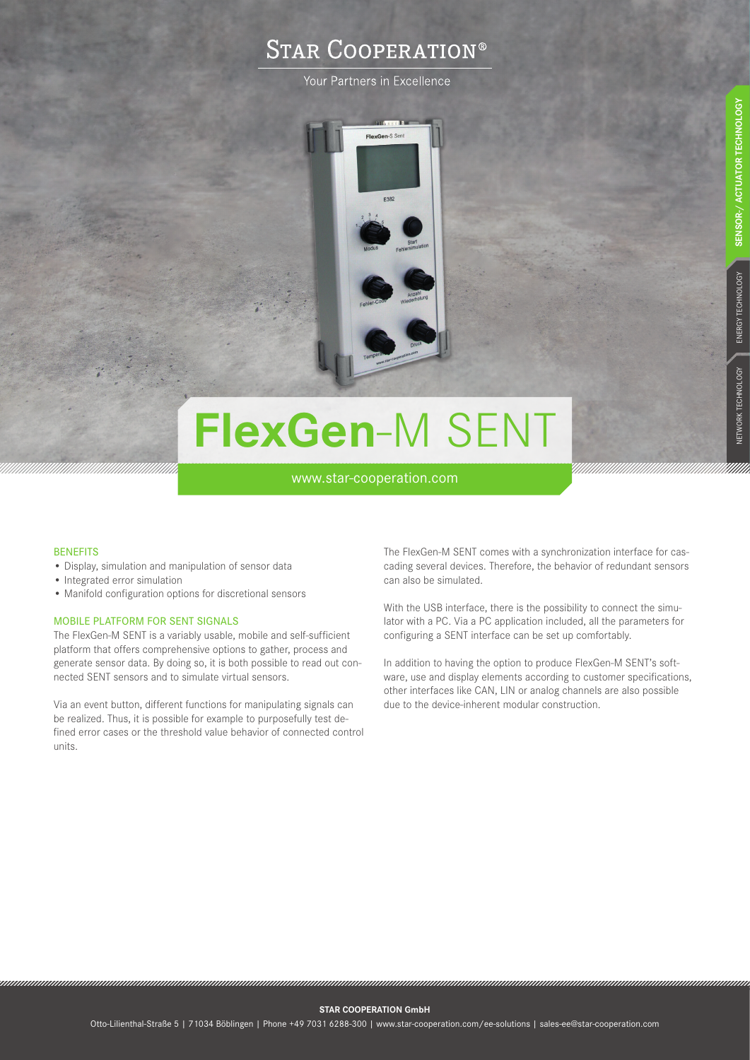## **STAR COOPERATION®**

Your Partners in Excellence



# **FlexGen**-M SENT

www.star-cooperation.com

#### **BENEFITS**

- Display, simulation and manipulation of sensor data
- Integrated error simulation
- Manifold configuration options for discretional sensors

#### MOBILE PLATFORM FOR SENT SIGNALS

The FlexGen-M SENT is a variably usable, mobile and self-sufficient platform that offers comprehensive options to gather, process and generate sensor data. By doing so, it is both possible to read out connected SENT sensors and to simulate virtual sensors.

Via an event button, different functions for manipulating signals can be realized. Thus, it is possible for example to purposefully test defined error cases or the threshold value behavior of connected control units.

The FlexGen-M SENT comes with a synchronization interface for cascading several devices. Therefore, the behavior of redundant sensors can also be simulated.

With the USB interface, there is the possibility to connect the simulator with a PC. Via a PC application included, all the parameters for configuring a SENT interface can be set up comfortably.

In addition to having the option to produce FlexGen-M SENT's software, use and display elements according to customer specifications, other interfaces like CAN, LIN or analog channels are also possible due to the device-inherent modular construction.

**STAR COOPERATION GmbH**